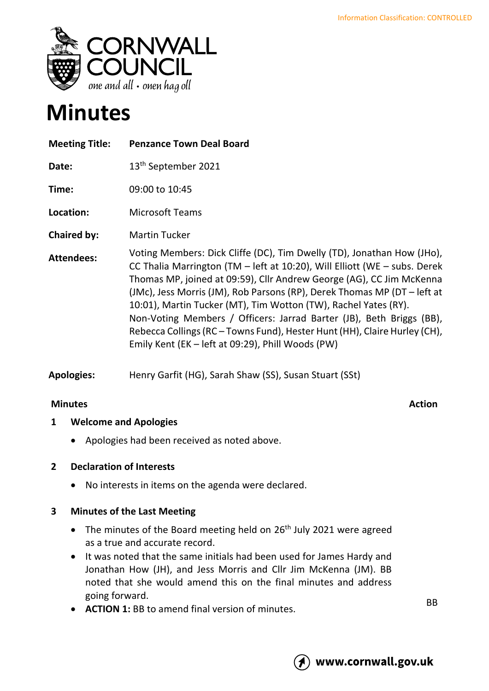

# **Minutes**

| <b>Meeting Title:</b> | <b>Penzance Town Deal Board</b>                                                                                                                                                                                                                                                                                                                                                                                                                                                                                                                                                      |
|-----------------------|--------------------------------------------------------------------------------------------------------------------------------------------------------------------------------------------------------------------------------------------------------------------------------------------------------------------------------------------------------------------------------------------------------------------------------------------------------------------------------------------------------------------------------------------------------------------------------------|
| Date:                 | 13 <sup>th</sup> September 2021                                                                                                                                                                                                                                                                                                                                                                                                                                                                                                                                                      |
| Time:                 | 09:00 to 10:45                                                                                                                                                                                                                                                                                                                                                                                                                                                                                                                                                                       |
| Location:             | <b>Microsoft Teams</b>                                                                                                                                                                                                                                                                                                                                                                                                                                                                                                                                                               |
| <b>Chaired by:</b>    | <b>Martin Tucker</b>                                                                                                                                                                                                                                                                                                                                                                                                                                                                                                                                                                 |
| <b>Attendees:</b>     | Voting Members: Dick Cliffe (DC), Tim Dwelly (TD), Jonathan How (JHo),<br>CC Thalia Marrington (TM - left at 10:20), Will Elliott (WE - subs. Derek<br>Thomas MP, joined at 09:59), Cllr Andrew George (AG), CC Jim McKenna<br>(JMc), Jess Morris (JM), Rob Parsons (RP), Derek Thomas MP (DT – left at<br>10:01), Martin Tucker (MT), Tim Wotton (TW), Rachel Yates (RY).<br>Non-Voting Members / Officers: Jarrad Barter (JB), Beth Briggs (BB),<br>Rebecca Collings (RC – Towns Fund), Hester Hunt (HH), Claire Hurley (CH),<br>Emily Kent (EK - left at 09:29), Phill Woods (PW) |

**Apologies:** Henry Garfit (HG), Sarah Shaw (SS), Susan Stuart (SSt)

# **Minutes** Action

#### **1 Welcome and Apologies**

• Apologies had been received as noted above.

#### **2 Declaration of Interests**

• No interests in items on the agenda were declared.

#### **3 Minutes of the Last Meeting**

- The minutes of the Board meeting held on 26<sup>th</sup> July 2021 were agreed as a true and accurate record.
- It was noted that the same initials had been used for James Hardy and Jonathan How (JH), and Jess Morris and Cllr Jim McKenna (JM). BB noted that she would amend this on the final minutes and address going forward.
- **ACTION 1:** BB to amend final version of minutes.

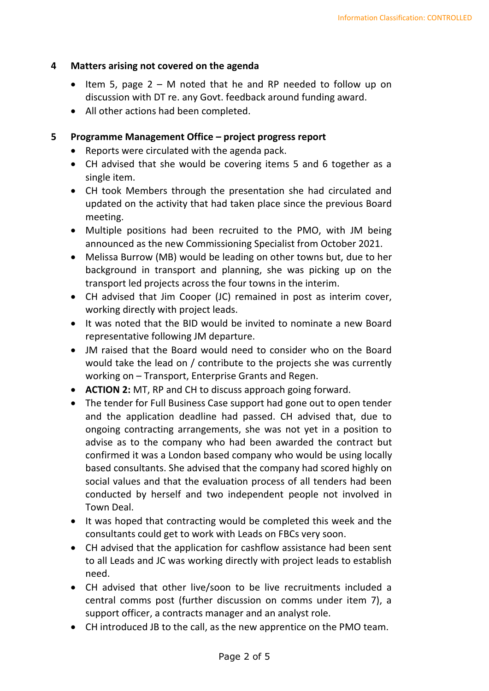#### **4 Matters arising not covered on the agenda**

- Item 5, page 2 M noted that he and RP needed to follow up on discussion with DT re. any Govt. feedback around funding award.
- All other actions had been completed.

#### **5 Programme Management Office – project progress report**

- Reports were circulated with the agenda pack.
- CH advised that she would be covering items 5 and 6 together as a single item.
- CH took Members through the presentation she had circulated and updated on the activity that had taken place since the previous Board meeting.
- Multiple positions had been recruited to the PMO, with JM being announced as the new Commissioning Specialist from October 2021.
- Melissa Burrow (MB) would be leading on other towns but, due to her background in transport and planning, she was picking up on the transport led projects across the four towns in the interim.
- CH advised that Jim Cooper (JC) remained in post as interim cover, working directly with project leads.
- It was noted that the BID would be invited to nominate a new Board representative following JM departure.
- JM raised that the Board would need to consider who on the Board would take the lead on / contribute to the projects she was currently working on – Transport, Enterprise Grants and Regen.
- **ACTION 2:** MT, RP and CH to discuss approach going forward.
- The tender for Full Business Case support had gone out to open tender and the application deadline had passed. CH advised that, due to ongoing contracting arrangements, she was not yet in a position to advise as to the company who had been awarded the contract but confirmed it was a London based company who would be using locally based consultants. She advised that the company had scored highly on social values and that the evaluation process of all tenders had been conducted by herself and two independent people not involved in Town Deal.
- It was hoped that contracting would be completed this week and the consultants could get to work with Leads on FBCs very soon.
- CH advised that the application for cashflow assistance had been sent to all Leads and JC was working directly with project leads to establish need.
- CH advised that other live/soon to be live recruitments included a central comms post (further discussion on comms under item 7), a support officer, a contracts manager and an analyst role.
- CH introduced JB to the call, as the new apprentice on the PMO team.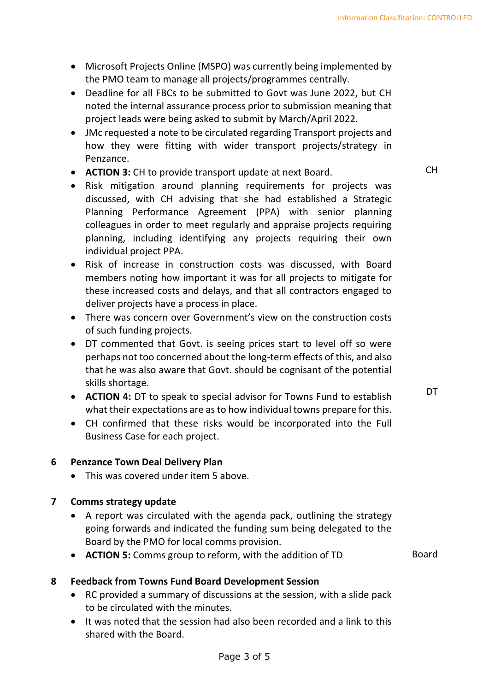- Microsoft Projects Online (MSPO) was currently being implemented by the PMO team to manage all projects/programmes centrally.
- Deadline for all FBCs to be submitted to Govt was June 2022, but CH noted the internal assurance process prior to submission meaning that project leads were being asked to submit by March/April 2022.
- JMc requested a note to be circulated regarding Transport projects and how they were fitting with wider transport projects/strategy in Penzance.
- **ACTION 3:** CH to provide transport update at next Board.
- Risk mitigation around planning requirements for projects was discussed, with CH advising that she had established a Strategic Planning Performance Agreement (PPA) with senior planning colleagues in order to meet regularly and appraise projects requiring planning, including identifying any projects requiring their own individual project PPA.
- Risk of increase in construction costs was discussed, with Board members noting how important it was for all projects to mitigate for these increased costs and delays, and that all contractors engaged to deliver projects have a process in place.
- There was concern over Government's view on the construction costs of such funding projects.
- DT commented that Govt. is seeing prices start to level off so were perhaps not too concerned about the long-term effects of this, and also that he was also aware that Govt. should be cognisant of the potential skills shortage.
- **ACTION 4:** DT to speak to special advisor for Towns Fund to establish what their expectations are as to how individual towns prepare for this.
- CH confirmed that these risks would be incorporated into the Full Business Case for each project.

#### **6 Penzance Town Deal Delivery Plan**

• This was covered under item 5 above.

#### **7 Comms strategy update**

- A report was circulated with the agenda pack, outlining the strategy going forwards and indicated the funding sum being delegated to the Board by the PMO for local comms provision.
- **ACTION 5:** Comms group to reform, with the addition of TD Board

- **8 Feedback from Towns Fund Board Development Session**
	- RC provided a summary of discussions at the session, with a slide pack to be circulated with the minutes.
	- It was noted that the session had also been recorded and a link to this shared with the Board.

CH

**DT**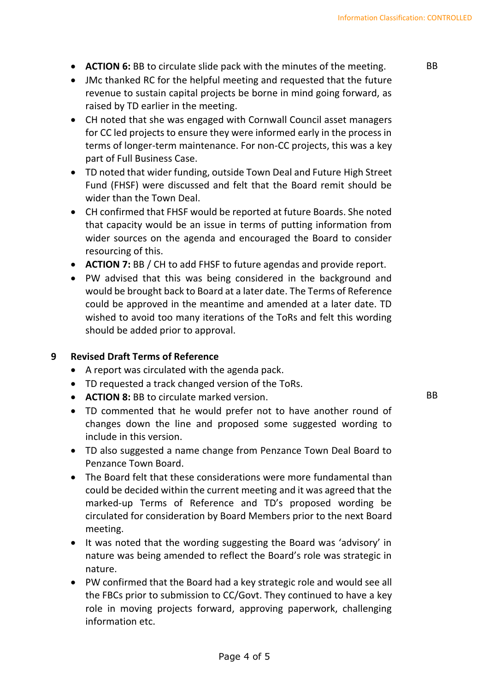- **ACTION 6:** BB to circulate slide pack with the minutes of the meeting.
- JMc thanked RC for the helpful meeting and requested that the future revenue to sustain capital projects be borne in mind going forward, as raised by TD earlier in the meeting.
- CH noted that she was engaged with Cornwall Council asset managers for CC led projects to ensure they were informed early in the process in terms of longer-term maintenance. For non-CC projects, this was a key part of Full Business Case.
- TD noted that wider funding, outside Town Deal and Future High Street Fund (FHSF) were discussed and felt that the Board remit should be wider than the Town Deal.
- CH confirmed that FHSF would be reported at future Boards. She noted that capacity would be an issue in terms of putting information from wider sources on the agenda and encouraged the Board to consider resourcing of this.
- **ACTION 7:** BB / CH to add FHSF to future agendas and provide report.
- PW advised that this was being considered in the background and would be brought back to Board at a later date. The Terms of Reference could be approved in the meantime and amended at a later date. TD wished to avoid too many iterations of the ToRs and felt this wording should be added prior to approval.

#### **9 Revised Draft Terms of Reference**

- A report was circulated with the agenda pack.
- TD requested a track changed version of the ToRs.
- **ACTION 8:** BB to circulate marked version.
- TD commented that he would prefer not to have another round of changes down the line and proposed some suggested wording to include in this version.
- TD also suggested a name change from Penzance Town Deal Board to Penzance Town Board.
- The Board felt that these considerations were more fundamental than could be decided within the current meeting and it was agreed that the marked-up Terms of Reference and TD's proposed wording be circulated for consideration by Board Members prior to the next Board meeting.
- It was noted that the wording suggesting the Board was 'advisory' in nature was being amended to reflect the Board's role was strategic in nature.
- PW confirmed that the Board had a key strategic role and would see all the FBCs prior to submission to CC/Govt. They continued to have a key role in moving projects forward, approving paperwork, challenging information etc.

BB

BB

Page 4 of 5